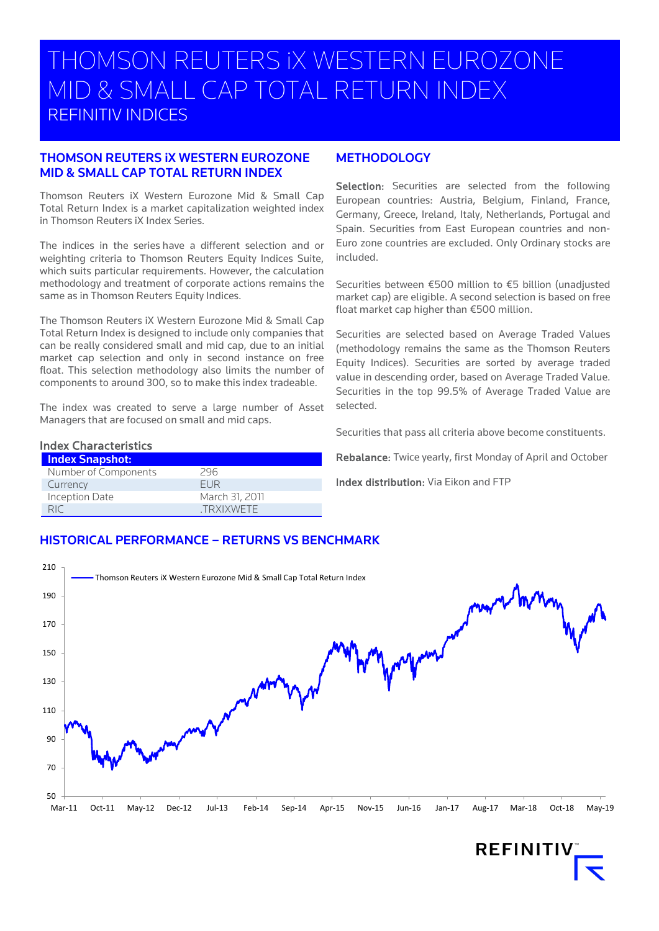# THOMSON REUTERS IX WESTERN EUROZONE MID & SMALL CAP TOTAL RETURN INDEX REFINITIV INDICES

#### THOMSON REUTERS iX WESTERN EUROZONE MID & SMALL CAP TOTAL RETURN INDEX

Thomson Reuters iX Western Eurozone Mid & Small Cap Total Return Index is a market capitalization weighted index in Thomson Reuters iX Index Series.

The indices in the series have a different selection and or weighting criteria to Thomson Reuters Equity Indices Suite, which suits particular requirements. However, the calculation methodology and treatment of corporate actions remains the same as in Thomson Reuters Equity Indices.

The Thomson Reuters iX Western Eurozone Mid & Small Cap Total Return Index is designed to include only companies that can be really considered small and mid cap, due to an initial market cap selection and only in second instance on free float. This selection methodology also limits the number of components to around 300, so to make this index tradeable.

The index was created to serve a large number of Asset Managers that are focused on small and mid caps.

#### Index Characteristics

| <b>Index Snapshot:</b> |                  |
|------------------------|------------------|
| Number of Components   | 296              |
| Currency               | <b>FUR</b>       |
| Inception Date         | March 31, 2011   |
|                        | <b>TRXIXWETE</b> |

#### **METHODOLOGY**

Selection: Securities are selected from the following European countries: Austria, Belgium, Finland, France, Germany, Greece, Ireland, Italy, Netherlands, Portugal and Spain. Securities from East European countries and non-Euro zone countries are excluded. Only Ordinary stocks are included.

Securities between €500 million to €5 billion (unadjusted market cap) are eligible. A second selection is based on free float market cap higher than €500 million.

Securities are selected based on Average Traded Values (methodology remains the same as the Thomson Reuters Equity Indices). Securities are sorted by average traded value in descending order, based on Average Traded Value. Securities in the top 99.5% of Average Traded Value are selected.

Securities that pass all criteria above become constituents.

Rebalance: Twice yearly, first Monday of April and October

Index distribution: Via Eikon and FTP

#### HISTORICAL PERFORMANCE – RETURNS VS BENCHMARK



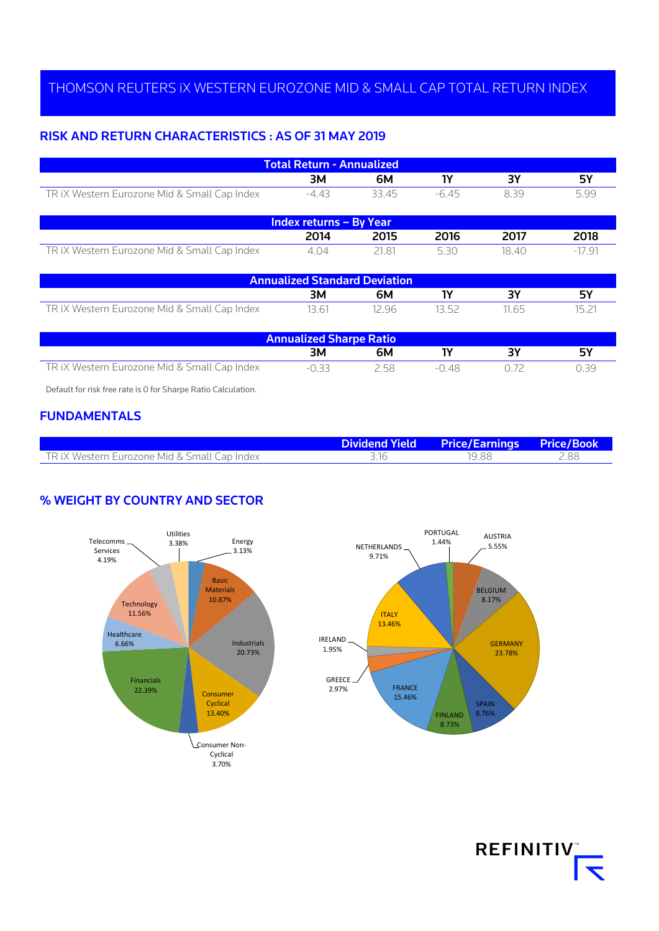# THOMSON REUTERS iX WESTERN EUROZONE MID & SMALL CAP TOTAL RETURN INDEX

## RISK AND RETURN CHARACTERISTICS : AS OF 31 MAY 2019

| <b>Total Return - Annualized</b>             |                 |       |         |       |         |
|----------------------------------------------|-----------------|-------|---------|-------|---------|
|                                              | ЗΜ              | 6М    | 1Υ      | ЗΥ    | 5Υ      |
| TR IX Western Eurozone Mid & Small Cap Index | $-4.43$         | 33.45 | $-6.45$ | 8.39  | 5.99    |
| Index returns - By Year                      |                 |       |         |       |         |
|                                              | 2014            | 2015  | 2016    | 2017  | 2018    |
| TR IX Western Eurozone Mid & Small Cap Index | 4 <sub>04</sub> | 21.81 | 530     | 18.40 | $-1791$ |

| <b>Annualized Standard Deviation</b>         |       |       |       |       |       |
|----------------------------------------------|-------|-------|-------|-------|-------|
|                                              | зм    | 6М    |       |       | Б١    |
| TR iX Western Eurozone Mid & Small Cap Index | 13.61 | 12 96 | 13 52 | 11.65 | 15 21 |

| <b>Annualized Sharpe Ratio</b>               |         |      |       |    |      |
|----------------------------------------------|---------|------|-------|----|------|
|                                              | ЗΜ      | 6М   |       | ٦V |      |
| TR iX Western Eurozone Mid & Small Cap Index | $-0.33$ | 2 58 | -0.48 |    | า วด |

Default for risk free rate is 0 for Sharpe Ratio Calculation.

### FUNDAMENTALS

|                                              | Dividend Yield Price/Earnings Price/Book |     |
|----------------------------------------------|------------------------------------------|-----|
| TR iX Western Eurozone Mid & Small Cap Index | 19.88                                    | .88 |

# % WEIGHT BY COUNTRY AND SECTOR